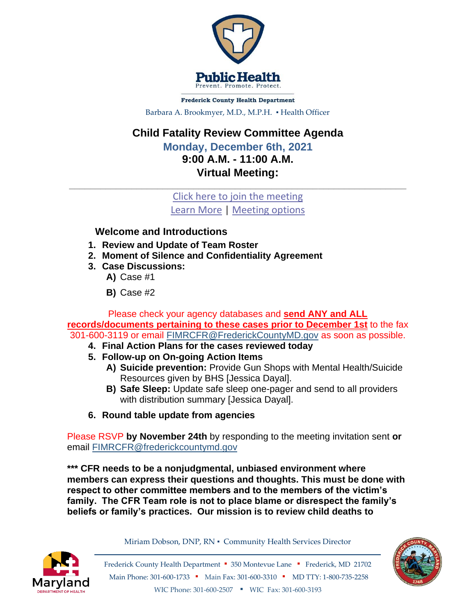

**Frederick County Health Department** Barbara A. Brookmyer, M.D., M.P.H. · Health Officer

## **Child Fatality Review Committee Agenda**

**Monday, December 6th, 2021 9:00 A.M. - 11:00 A.M. Virtual Meeting:**

[Click here to join the meeting](https://teams.microsoft.com/l/meetup-join/19%3ameeting_Yjg0MzJiOTItYWZmNC00M2JjLTk4M2ItZGI1NGNkMGFlMmU4%40thread.v2/0?context=%7b%22Tid%22%3a%2248c6342d-3806-4843-9dec-6a40b1bb8737%22%2c%22Oid%22%3a%2235a10a78-0487-47fc-a433-7f7e6c86c405%22%7d) [Learn More](https://aka.ms/JoinTeamsMeeting) | [Meeting options](https://teams.microsoft.com/meetingOptions/?organizerId=35a10a78-0487-47fc-a433-7f7e6c86c405&tenantId=48c6342d-3806-4843-9dec-6a40b1bb8737&threadId=19_meeting_Yjg0MzJiOTItYWZmNC00M2JjLTk4M2ItZGI1NGNkMGFlMmU4@thread.v2&messageId=0&language=en-US)

 $\_$  , and the set of the set of the set of the set of the set of the set of the set of the set of the set of the set of the set of the set of the set of the set of the set of the set of the set of the set of the set of th

## **Welcome and Introductions**

- **1. Review and Update of Team Roster**
- **2. Moment of Silence and Confidentiality Agreement**
- **3. Case Discussions:** 
	- **A)** Case #1
	- **B)** Case #2

Please check your agency databases and **send ANY and ALL records/documents pertaining to these cases prior to December 1st** to the fax 301-600-3119 or email [FIMRCFR@FrederickCountyMD.gov](mailto:FIMRCFR@FrederickCountyMD.gov) as soon as possible.

- **4. Final Action Plans for the cases reviewed today**
- **5. Follow-up on On-going Action Items**
	- **A) Suicide prevention:** Provide Gun Shops with Mental Health/Suicide Resources given by BHS [Jessica Dayal].
	- **B) Safe Sleep:** Update safe sleep one-pager and send to all providers with distribution summary [Jessica Dayal].
- **6. Round table update from agencies**

Please RSVP **by November 24th** by responding to the meeting invitation sent **or**  email [FIMRCFR@frederickcountymd.gov](mailto:FIMRCFR@frederickcountymd.gov)

**\*\*\* CFR needs to be a nonjudgmental, unbiased environment where members can express their questions and thoughts. This must be done with respect to other committee members and to the members of the victim's family. The CFR Team role is not to place blame or disrespect the family's beliefs or family's practices. Our mission is to review child deaths to** 



Miriam Dobson, DNP, RN ▪ Community Health Services Director